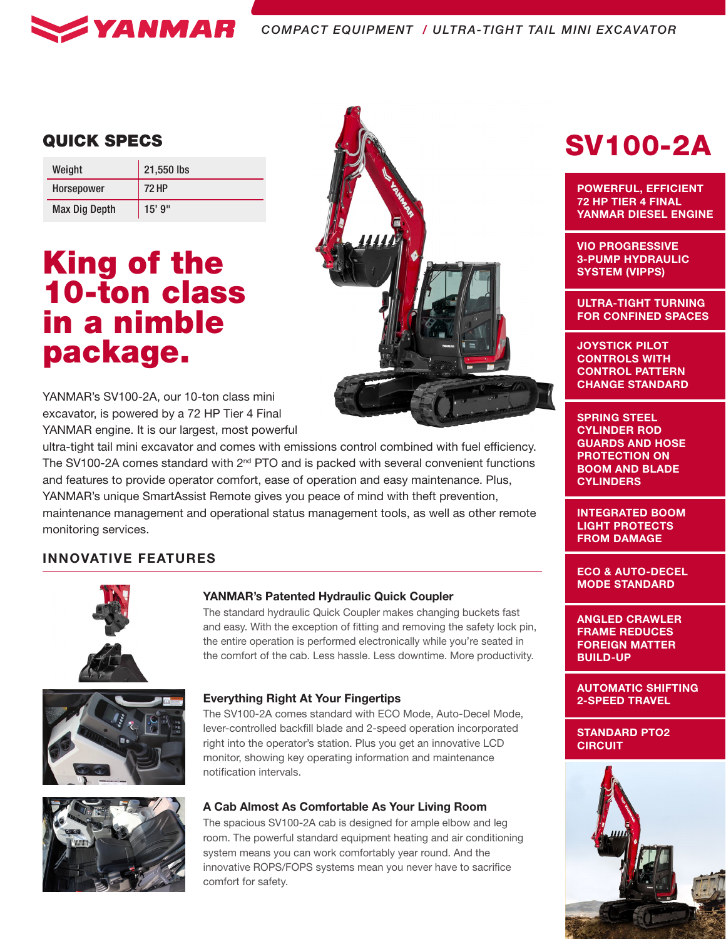

| Weight               | 21,550 lbs   |  |  |  |
|----------------------|--------------|--|--|--|
| <b>Horsepower</b>    | <b>72 HP</b> |  |  |  |
| <b>Max Dig Depth</b> | $15'$ 9"     |  |  |  |

# King of the 10-ton class in a nimble package.



ultra-tight tail mini excavator and comes with emissions control combined with fuel efficiency. The SV100-2A comes standard with 2<sup>nd</sup> PTO and is packed with several convenient functions and features to provide operator comfort, ease of operation and easy maintenance. Plus, YANMAR's unique SmartAssist Remote gives you peace of mind with theft prevention, maintenance management and operational status management tools, as well as other remote monitoring services.

### INNOVATIVE FEATURES







### YANMAR's Patented Hydraulic Quick Coupler

The standard hydraulic Quick Coupler makes changing buckets fast and easy. With the exception of fitting and removing the safety lock pin, the entire operation is performed electronically while you're seated in the comfort of the cab. Less hassle. Less downtime. More productivity.

### Everything Right At Your Fingertips

The SV100-2A comes standard with ECO Mode, Auto-Decel Mode, lever-controlled backfill blade and 2-speed operation incorporated right into the operator's station. Plus you get an innovative LCD monitor, showing key operating information and maintenance notification intervals.

### A Cab Almost As Comfortable As Your Living Room

The spacious SV100-2A cab is designed for ample elbow and leg room. The powerful standard equipment heating and air conditioning system means you can work comfortably year round. And the innovative ROPS/FOPS systems mean you never have to sacrifice comfort for safety.

## **QUICK SPECS** And **SV100-2A**

POWERFUL, EFFICIENT 72 HP TIER 4 FINAL YANMAR DIESEL ENGINE

VIO PROGRESSIVE 3-PUMP HYDRAULIC SYSTEM (VIPPS)

ULTRA-TIGHT TURNING FOR CONFINED SPACES

JOYSTICK PILOT CONTROLS WITH CONTROL PATTERN CHANGE STANDARD

SPRING STEEL CYLINDER ROD GUARDS AND HOSE PROTECTION ON BOOM AND BLADE **CYLINDERS** 

INTEGRATED BOOM LIGHT PROTECTS FROM DAMAGE

ECO & AUTO-DECEL MODE STANDARD

ANGLED CRAWLER FRAME REDUCES FOREIGN MATTER BUILD-UP

AUTOMATIC SHIFTING 2-SPEED TRAVEL

STANDARD PTO2 **CIRCUIT**